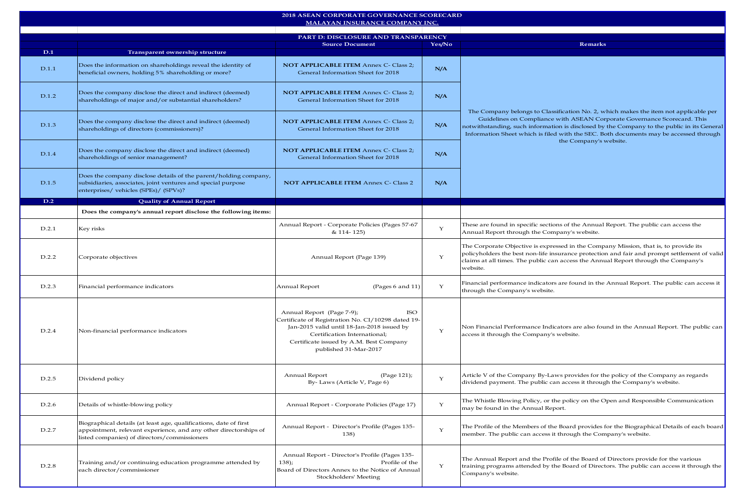| 2018 ASEAN CORPORATE GOVERNANCE SCORECARD<br>MALAYAN INSURANCE COMPANY INC. |                                                                                                                                                                                       |                                                                                                                                                                                                                                                |              |                                                                                                                                                                                                                                                                                                                                                                                   |  |  |  |
|-----------------------------------------------------------------------------|---------------------------------------------------------------------------------------------------------------------------------------------------------------------------------------|------------------------------------------------------------------------------------------------------------------------------------------------------------------------------------------------------------------------------------------------|--------------|-----------------------------------------------------------------------------------------------------------------------------------------------------------------------------------------------------------------------------------------------------------------------------------------------------------------------------------------------------------------------------------|--|--|--|
|                                                                             |                                                                                                                                                                                       |                                                                                                                                                                                                                                                |              |                                                                                                                                                                                                                                                                                                                                                                                   |  |  |  |
|                                                                             |                                                                                                                                                                                       | PART D: DISCLOSURE AND TRANSPARENCY<br><b>Source Document</b>                                                                                                                                                                                  | Yes/No       | <b>Remarks</b>                                                                                                                                                                                                                                                                                                                                                                    |  |  |  |
| D.1                                                                         | Transparent ownership structure                                                                                                                                                       |                                                                                                                                                                                                                                                |              |                                                                                                                                                                                                                                                                                                                                                                                   |  |  |  |
| D.1.1                                                                       | Does the information on shareholdings reveal the identity of<br>beneficial owners, holding 5% shareholding or more?                                                                   | <b>NOT APPLICABLE ITEM Annex C- Class 2;</b><br>General Information Sheet for 2018                                                                                                                                                             | N/A          | The Company belongs to Classification No. 2, which makes the item not applicable per<br>Guidelines on Compliance with ASEAN Corporate Governance Scorecard. This<br>notwithstanding, such information is disclosed by the Company to the public in its General<br>Information Sheet which is filed with the SEC. Both documents may be accessed through<br>the Company's website. |  |  |  |
| D.1.2                                                                       | Does the company disclose the direct and indirect (deemed)<br>shareholdings of major and/or substantial shareholders?                                                                 | <b>NOT APPLICABLE ITEM Annex C- Class 2;</b><br>General Information Sheet for 2018                                                                                                                                                             | N/A          |                                                                                                                                                                                                                                                                                                                                                                                   |  |  |  |
| D.1.3                                                                       | Does the company disclose the direct and indirect (deemed)<br>shareholdings of directors (commissioners)?                                                                             | <b>NOT APPLICABLE ITEM Annex C- Class 2;</b><br>General Information Sheet for 2018                                                                                                                                                             | N/A          |                                                                                                                                                                                                                                                                                                                                                                                   |  |  |  |
| D.1.4                                                                       | Does the company disclose the direct and indirect (deemed)<br>shareholdings of senior management?                                                                                     | <b>NOT APPLICABLE ITEM Annex C- Class 2;</b><br>General Information Sheet for 2018                                                                                                                                                             | N/A          |                                                                                                                                                                                                                                                                                                                                                                                   |  |  |  |
| D.1.5                                                                       | Does the company disclose details of the parent/holding company,<br>subsidiaries, associates, joint ventures and special purpose<br>enterprises/vehicles (SPEs)/ (SPVs)?              | <b>NOT APPLICABLE ITEM Annex C- Class 2</b>                                                                                                                                                                                                    | N/A          |                                                                                                                                                                                                                                                                                                                                                                                   |  |  |  |
| D.2                                                                         | <b>Quality of Annual Report</b>                                                                                                                                                       |                                                                                                                                                                                                                                                |              |                                                                                                                                                                                                                                                                                                                                                                                   |  |  |  |
|                                                                             | Does the company's annual report disclose the following items:                                                                                                                        |                                                                                                                                                                                                                                                |              |                                                                                                                                                                                                                                                                                                                                                                                   |  |  |  |
| D.2.1                                                                       | Key risks                                                                                                                                                                             | Annual Report - Corporate Policies (Pages 57-67<br>& 114-125)                                                                                                                                                                                  | $\mathbf{Y}$ | These are found in specific sections of the Annual Report. The public can access the<br>Annual Report through the Company's website.                                                                                                                                                                                                                                              |  |  |  |
| D.2.2                                                                       | Corporate objectives                                                                                                                                                                  | Annual Report (Page 139)                                                                                                                                                                                                                       | $\mathbf Y$  | The Corporate Objective is expressed in the Company Mission, that is, to provide its<br>policyholders the best non-life insurance protection and fair and prompt settlement of valid<br>claims at all times. The public can access the Annual Report through the Company's<br>website.                                                                                            |  |  |  |
| D.2.3                                                                       | Financial performance indicators                                                                                                                                                      | Annual Report<br>(Pages 6 and 11)                                                                                                                                                                                                              | $\mathbf Y$  | Financial performance indicators are found in the Annual Report. The public can access it<br>through the Company's website.                                                                                                                                                                                                                                                       |  |  |  |
| D.2.4                                                                       | Non-financial performance indicators                                                                                                                                                  | Annual Report (Page 7-9);<br><b>ISO</b><br>Certificate of Registration No. CI/10298 dated 19<br>Jan-2015 valid until 18-Jan-2018 issued by<br>Certification International;<br>Certificate issued by A.M. Best Company<br>published 31-Mar-2017 | $\mathbf Y$  | Non Financial Performance Indicators are also found in the Annual Report. The public can<br>access it through the Company's website.                                                                                                                                                                                                                                              |  |  |  |
| D.2.5                                                                       | Dividend policy                                                                                                                                                                       | Annual Report<br>(Page 121);<br>By-Laws (Article V, Page 6)                                                                                                                                                                                    | $\mathbf Y$  | Article V of the Company By-Laws provides for the policy of the Company as regards<br>dividend payment. The public can access it through the Company's website.                                                                                                                                                                                                                   |  |  |  |
| D.2.6                                                                       | Details of whistle-blowing policy                                                                                                                                                     | Annual Report - Corporate Policies (Page 17)                                                                                                                                                                                                   | $\mathbf Y$  | The Whistle Blowing Policy, or the policy on the Open and Responsible Communication<br>may be found in the Annual Report.                                                                                                                                                                                                                                                         |  |  |  |
| D.2.7                                                                       | Biographical details (at least age, qualifications, date of first<br>appointment, relevant experience, and any other directorships of<br>listed companies) of directors/commissioners | Annual Report - Director's Profile (Pages 135-<br>138)                                                                                                                                                                                         | $\mathbf Y$  | The Profile of the Members of the Board provides for the Biographical Details of each board<br>member. The public can access it through the Company's website.                                                                                                                                                                                                                    |  |  |  |
| D.2.8                                                                       | Training and/or continuing education programme attended by<br>each director/commissioner                                                                                              | Annual Report - Director's Profile (Pages 135-<br>Profile of the<br>138);<br>Board of Directors Annex to the Notice of Annual<br>Stockholders' Meeting                                                                                         | $\mathbf Y$  | The Annual Report and the Profile of the Board of Directors provide for the various<br>training programs attended by the Board of Directors. The public can access it through the<br>Company's website.                                                                                                                                                                           |  |  |  |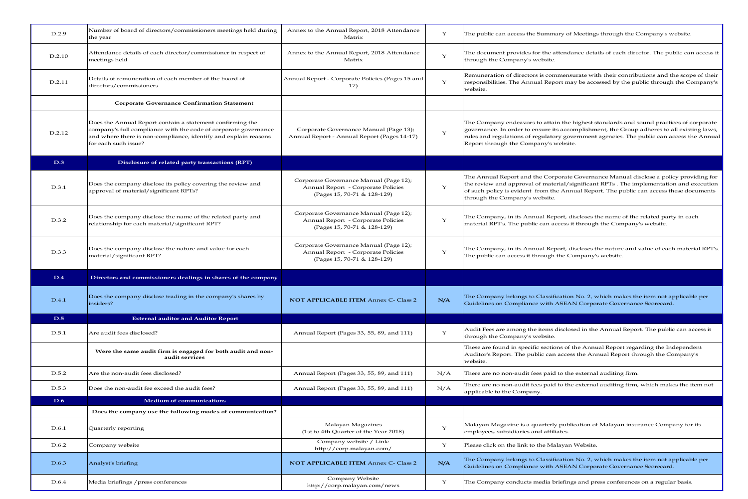| D.2.9  | Number of board of directors/commissioners meetings held during<br>the year                                                                                                                                             | Annex to the Annual Report, 2018 Attendance<br>Matrix                                                       | $\mathbf Y$ | The public can access the Summary of Meetings through the Company's website.                                                                                                                                                                                                                                               |
|--------|-------------------------------------------------------------------------------------------------------------------------------------------------------------------------------------------------------------------------|-------------------------------------------------------------------------------------------------------------|-------------|----------------------------------------------------------------------------------------------------------------------------------------------------------------------------------------------------------------------------------------------------------------------------------------------------------------------------|
| D.2.10 | Attendance details of each director/commissioner in respect of<br>meetings held                                                                                                                                         | Annex to the Annual Report, 2018 Attendance<br>Matrix                                                       | $\mathbf Y$ | The document provides for the attendance details of each director. The public can access it<br>through the Company's website.                                                                                                                                                                                              |
| D.2.11 | Details of remuneration of each member of the board of<br>directors/commissioners                                                                                                                                       | Annual Report - Corporate Policies (Pages 15 and<br>17)                                                     | $\mathbf Y$ | Remuneration of directors is commensurate with their contributions and the scope of their<br>responsibilities. The Annual Report may be accessed by the public through the Company's<br>website.                                                                                                                           |
|        | <b>Corporate Governance Confirmation Statement</b>                                                                                                                                                                      |                                                                                                             |             |                                                                                                                                                                                                                                                                                                                            |
| D.2.12 | Does the Annual Report contain a statement confirming the<br>company's full compliance with the code of corporate governance<br>and where there is non-compliance, identify and explain reasons<br>for each such issue? | Corporate Governance Manual (Page 13);<br>Annual Report - Annual Report (Pages 14-17)                       | $\mathbf Y$ | The Company endeavors to attain the highest standards and sound practices of corporate<br>governance. In order to ensure its accomplishment, the Group adheres to all existing laws,<br>rules and regulations of regulatory government agencies. The public can access the Annual<br>Report through the Company's website. |
| D.3    | Disclosure of related party transactions (RPT)                                                                                                                                                                          |                                                                                                             |             |                                                                                                                                                                                                                                                                                                                            |
| D.3.1  | Does the company disclose its policy covering the review and<br>approval of material/significant RPTs?                                                                                                                  | Corporate Governance Manual (Page 12);<br>Annual Report - Corporate Policies<br>(Pages 15, 70-71 & 128-129) | Υ           | The Annual Report and the Corporate Governance Manual disclose a policy providing for<br>the review and approval of material/significant RPTs. The implementation and execution<br>of such policy is evident from the Annual Report. The public can access these documents<br>through the Company's website.               |
| D.3.2  | Does the company disclose the name of the related party and<br>relationship for each material/significant RPT?                                                                                                          | Corporate Governance Manual (Page 12);<br>Annual Report - Corporate Policies<br>(Pages 15, 70-71 & 128-129) | $\mathbf Y$ | The Company, in its Annual Report, discloses the name of the related party in each<br>material RPT's. The public can access it through the Company's website.                                                                                                                                                              |
| D.3.3  | Does the company disclose the nature and value for each<br>material/significant RPT?                                                                                                                                    | Corporate Governance Manual (Page 12);<br>Annual Report - Corporate Policies<br>(Pages 15, 70-71 & 128-129) | $\mathbf Y$ | The Company, in its Annual Report, discloses the nature and value of each material RPT's.<br>The public can access it through the Company's website.                                                                                                                                                                       |
| D.4    | Directors and commissioners dealings in shares of the company                                                                                                                                                           |                                                                                                             |             |                                                                                                                                                                                                                                                                                                                            |
| D.4.1  | Does the company disclose trading in the company's shares by<br>insiders?                                                                                                                                               | <b>NOT APPLICABLE ITEM Annex C- Class 2</b>                                                                 | N/A         | The Company belongs to Classification No. 2, which makes the item not applicable per<br>Guidelines on Compliance with ASEAN Corporate Governance Scorecard.                                                                                                                                                                |
| D.5    | <b>External auditor and Auditor Report</b>                                                                                                                                                                              |                                                                                                             |             |                                                                                                                                                                                                                                                                                                                            |
| D.5.1  | Are audit fees disclosed?                                                                                                                                                                                               | Annual Report (Pages 33, 55, 89, and 111)                                                                   | Y           | Audit Fees are among the items disclosed in the Annual Report. The public can access it<br>through the Company's website.                                                                                                                                                                                                  |
|        | Were the same audit firm is engaged for both audit and non-<br>audit services                                                                                                                                           |                                                                                                             |             | These are found in specific sections of the Annual Report regarding the Independent<br>Auditor's Report. The public can access the Annual Report through the Company's<br>website.                                                                                                                                         |
| D.5.2  | Are the non-audit fees disclosed?                                                                                                                                                                                       | Annual Report (Pages 33, 55, 89, and 111)                                                                   | N/A         | There are no non-audit fees paid to the external auditing firm.                                                                                                                                                                                                                                                            |
| D.5.3  | Does the non-audit fee exceed the audit fees?                                                                                                                                                                           | Annual Report (Pages 33, 55, 89, and 111)                                                                   | N/A         | There are no non-audit fees paid to the external auditing firm, which makes the item not<br>applicable to the Company.                                                                                                                                                                                                     |
| D.6    | <b>Medium of communications</b>                                                                                                                                                                                         |                                                                                                             |             |                                                                                                                                                                                                                                                                                                                            |
|        | Does the company use the following modes of communication?                                                                                                                                                              |                                                                                                             |             |                                                                                                                                                                                                                                                                                                                            |
| D.6.1  | Quarterly reporting                                                                                                                                                                                                     | Malayan Magazines<br>(1st to 4th Quarter of the Year 2018)                                                  | $\mathbf Y$ | Malayan Magazine is a quarterly publication of Malayan insurance Company for its<br>employees, subsidiaries and affiliates.                                                                                                                                                                                                |
| D.6.2  | Company website                                                                                                                                                                                                         | Company website / Link:<br>http://corp.malayan.com/                                                         | $\mathbf Y$ | Please click on the link to the Malayan Website.                                                                                                                                                                                                                                                                           |
| D.6.3  | Analyst's briefing                                                                                                                                                                                                      | <b>NOT APPLICABLE ITEM Annex C- Class 2</b>                                                                 | N/A         | The Company belongs to Classification No. 2, which makes the item not applicable per<br>Guidelines on Compliance with ASEAN Corporate Governance Scorecard.                                                                                                                                                                |
| D.6.4  | Media briefings / press conferences                                                                                                                                                                                     | Company Website<br>http://corp.malayan.com/news                                                             | Y           | The Company conducts media briefings and press conferences on a regular basis.                                                                                                                                                                                                                                             |